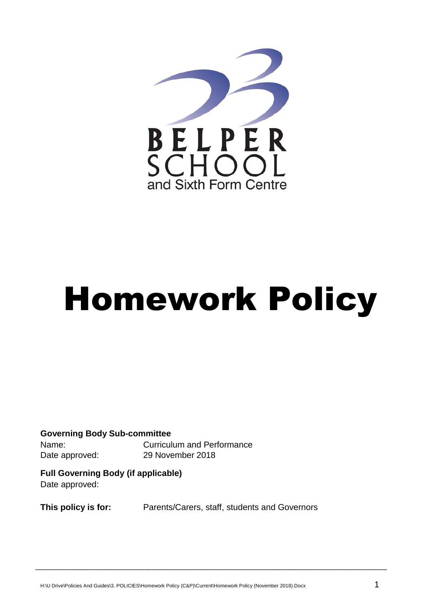

# Homework Policy

**Governing Body Sub-committee** Name: Curriculum and Performance Date approved: 29 November 2018

**Full Governing Body (if applicable)** Date approved:

**This policy is for:** Parents/Carers, staff, students and Governors

\_\_\_\_\_\_\_\_\_\_\_\_\_\_\_\_\_\_\_\_\_\_\_\_\_\_\_\_\_\_\_\_\_\_\_\_\_\_\_\_\_\_\_\_\_\_\_\_\_\_\_\_\_\_\_\_\_\_\_\_\_\_\_\_\_\_\_\_\_\_\_\_\_\_\_\_\_\_\_\_\_\_\_\_\_\_\_\_\_\_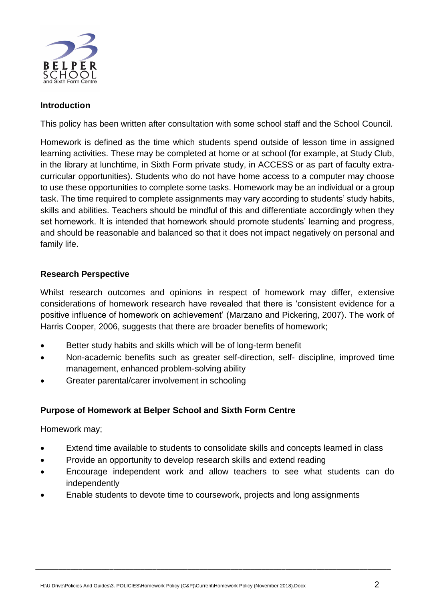

## **Introduction**

This policy has been written after consultation with some school staff and the School Council.

Homework is defined as the time which students spend outside of lesson time in assigned learning activities. These may be completed at home or at school (for example, at Study Club, in the library at lunchtime, in Sixth Form private study, in ACCESS or as part of faculty extracurricular opportunities). Students who do not have home access to a computer may choose to use these opportunities to complete some tasks. Homework may be an individual or a group task. The time required to complete assignments may vary according to students' study habits, skills and abilities. Teachers should be mindful of this and differentiate accordingly when they set homework. It is intended that homework should promote students' learning and progress, and should be reasonable and balanced so that it does not impact negatively on personal and family life.

### **Research Perspective**

Whilst research outcomes and opinions in respect of homework may differ, extensive considerations of homework research have revealed that there is 'consistent evidence for a positive influence of homework on achievement' (Marzano and Pickering, 2007). The work of Harris Cooper, 2006, suggests that there are broader benefits of homework;

- Better study habits and skills which will be of long-term benefit
- Non-academic benefits such as greater self-direction, self- discipline, improved time management, enhanced problem-solving ability
- Greater parental/carer involvement in schooling

### **Purpose of Homework at Belper School and Sixth Form Centre**

Homework may;

- Extend time available to students to consolidate skills and concepts learned in class
- Provide an opportunity to develop research skills and extend reading
- Encourage independent work and allow teachers to see what students can do independently

\_\_\_\_\_\_\_\_\_\_\_\_\_\_\_\_\_\_\_\_\_\_\_\_\_\_\_\_\_\_\_\_\_\_\_\_\_\_\_\_\_\_\_\_\_\_\_\_\_\_\_\_\_\_\_\_\_\_\_\_\_\_\_\_\_\_\_\_\_\_\_\_\_\_\_\_\_\_\_\_\_\_\_\_\_\_\_\_\_\_\_

Enable students to devote time to coursework, projects and long assignments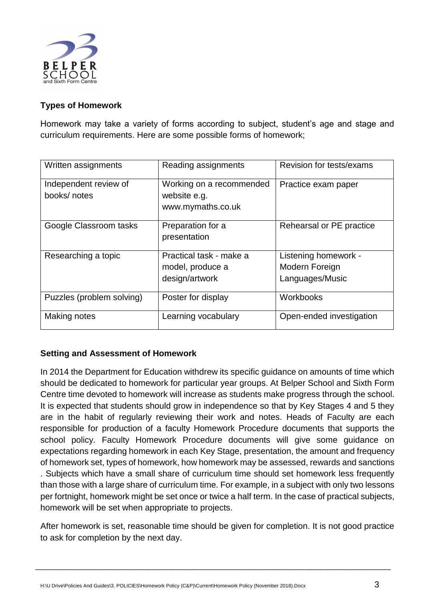

# **Types of Homework**

Homework may take a variety of forms according to subject, student's age and stage and curriculum requirements. Here are some possible forms of homework;

| Written assignments                  | Reading assignments                                           | Revision for tests/exams                                  |
|--------------------------------------|---------------------------------------------------------------|-----------------------------------------------------------|
| Independent review of<br>books/notes | Working on a recommended<br>website e.g.<br>www.mymaths.co.uk | Practice exam paper                                       |
| Google Classroom tasks               | Preparation for a<br>presentation                             | Rehearsal or PE practice                                  |
| Researching a topic                  | Practical task - make a<br>model, produce a<br>design/artwork | Listening homework -<br>Modern Foreign<br>Languages/Music |
| Puzzles (problem solving)            | Poster for display                                            | Workbooks                                                 |
| Making notes                         | Learning vocabulary                                           | Open-ended investigation                                  |

### **Setting and Assessment of Homework**

In 2014 the Department for Education withdrew its specific guidance on amounts of time which should be dedicated to homework for particular year groups. At Belper School and Sixth Form Centre time devoted to homework will increase as students make progress through the school. It is expected that students should grow in independence so that by Key Stages 4 and 5 they are in the habit of regularly reviewing their work and notes. Heads of Faculty are each responsible for production of a faculty Homework Procedure documents that supports the school policy. Faculty Homework Procedure documents will give some guidance on expectations regarding homework in each Key Stage, presentation, the amount and frequency of homework set, types of homework, how homework may be assessed, rewards and sanctions . Subjects which have a small share of curriculum time should set homework less frequently than those with a large share of curriculum time. For example, in a subject with only two lessons per fortnight, homework might be set once or twice a half term. In the case of practical subjects, homework will be set when appropriate to projects.

After homework is set, reasonable time should be given for completion. It is not good practice to ask for completion by the next day.

\_\_\_\_\_\_\_\_\_\_\_\_\_\_\_\_\_\_\_\_\_\_\_\_\_\_\_\_\_\_\_\_\_\_\_\_\_\_\_\_\_\_\_\_\_\_\_\_\_\_\_\_\_\_\_\_\_\_\_\_\_\_\_\_\_\_\_\_\_\_\_\_\_\_\_\_\_\_\_\_\_\_\_\_\_\_\_\_\_\_\_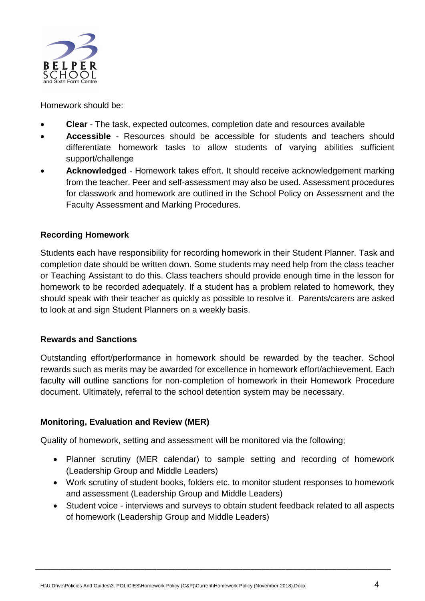

Homework should be:

- **Clear**  The task, expected outcomes, completion date and resources available
- **Accessible**  Resources should be accessible for students and teachers should differentiate homework tasks to allow students of varying abilities sufficient support/challenge
- **Acknowledged**  Homework takes effort. It should receive acknowledgement marking from the teacher. Peer and self-assessment may also be used. Assessment procedures for classwork and homework are outlined in the School Policy on Assessment and the Faculty Assessment and Marking Procedures.

### **Recording Homework**

Students each have responsibility for recording homework in their Student Planner. Task and completion date should be written down. Some students may need help from the class teacher or Teaching Assistant to do this. Class teachers should provide enough time in the lesson for homework to be recorded adequately. If a student has a problem related to homework, they should speak with their teacher as quickly as possible to resolve it. Parents/carers are asked to look at and sign Student Planners on a weekly basis.

### **Rewards and Sanctions**

Outstanding effort/performance in homework should be rewarded by the teacher. School rewards such as merits may be awarded for excellence in homework effort/achievement. Each faculty will outline sanctions for non-completion of homework in their Homework Procedure document. Ultimately, referral to the school detention system may be necessary.

### **Monitoring, Evaluation and Review (MER)**

Quality of homework, setting and assessment will be monitored via the following;

- Planner scrutiny (MER calendar) to sample setting and recording of homework (Leadership Group and Middle Leaders)
- Work scrutiny of student books, folders etc. to monitor student responses to homework and assessment (Leadership Group and Middle Leaders)
- Student voice interviews and surveys to obtain student feedback related to all aspects of homework (Leadership Group and Middle Leaders)

\_\_\_\_\_\_\_\_\_\_\_\_\_\_\_\_\_\_\_\_\_\_\_\_\_\_\_\_\_\_\_\_\_\_\_\_\_\_\_\_\_\_\_\_\_\_\_\_\_\_\_\_\_\_\_\_\_\_\_\_\_\_\_\_\_\_\_\_\_\_\_\_\_\_\_\_\_\_\_\_\_\_\_\_\_\_\_\_\_\_\_